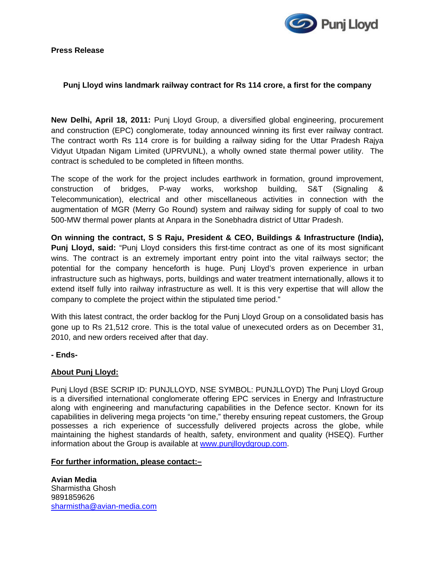**Press Release** 



## **Punj Lloyd wins landmark railway contract for Rs 114 crore, a first for the company**

**New Delhi, April 18, 2011:** Punj Lloyd Group, a diversified global engineering, procurement and construction (EPC) conglomerate, today announced winning its first ever railway contract. The contract worth Rs 114 crore is for building a railway siding for the Uttar Pradesh Rajya Vidyut Utpadan Nigam Limited (UPRVUNL), a wholly owned state thermal power utility. The contract is scheduled to be completed in fifteen months.

The scope of the work for the project includes earthwork in formation, ground improvement, construction of bridges, P-way works, workshop building, S&T (Signaling & Telecommunication), electrical and other miscellaneous activities in connection with the augmentation of MGR (Merry Go Round) system and railway siding for supply of coal to two 500-MW thermal power plants at Anpara in the Sonebhadra district of Uttar Pradesh.

**On winning the contract, S S Raju, President & CEO, Buildings & Infrastructure (India), Punj Lloyd, said:** "Punj Lloyd considers this first-time contract as one of its most significant wins. The contract is an extremely important entry point into the vital railways sector; the potential for the company henceforth is huge. Punj Lloyd's proven experience in urban infrastructure such as highways, ports, buildings and water treatment internationally, allows it to extend itself fully into railway infrastructure as well. It is this very expertise that will allow the company to complete the project within the stipulated time period."

With this latest contract, the order backlog for the Punj Lloyd Group on a consolidated basis has gone up to Rs 21,512 crore. This is the total value of unexecuted orders as on December 31, 2010, and new orders received after that day.

**- Ends-**

## **About Punj Lloyd:**

Punj Lloyd (BSE SCRIP ID: PUNJLLOYD, NSE SYMBOL: PUNJLLOYD) The Punj Lloyd Group is a diversified international conglomerate offering EPC services in Energy and Infrastructure along with engineering and manufacturing capabilities in the Defence sector. Known for its capabilities in delivering mega projects "on time," thereby ensuring repeat customers, the Group possesses a rich experience of successfully delivered projects across the globe, while maintaining the highest standards of health, safety, environment and quality (HSEQ). Further information about the Group is available at www.punjlloydgroup.com.

## **For further information, please contact:–**

**Avian Media**  Sharmistha Ghosh 9891859626 [sharmistha@avian-media.com](mailto:sharmistha@avian-media.com)